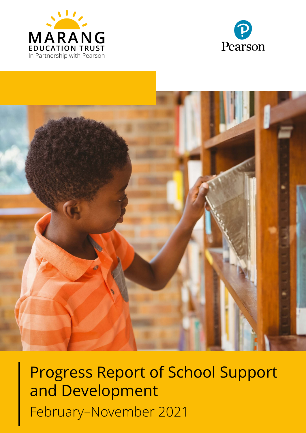





Progress Report of School Support and Development February–November 2021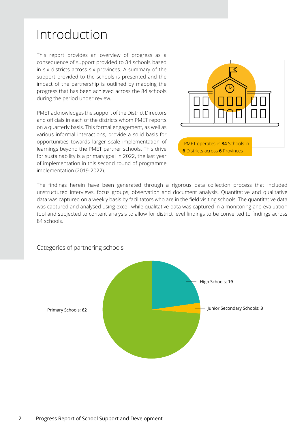#### 2 Progress Report of School Support and Development

## Introduction

This report provides an overview of progress as a consequence of support provided to 84 schools based in six districts across six provinces. A summary of the support provided to the schools is presented and the impact of the partnership is outlined by mapping the progress that has been achieved across the 84 schools during the period under review.

PMET acknowledges the support of the District Directors and officials in each of the districts whom PMET reports on a quarterly basis. This formal engagement, as well as various informal interactions, provide a solid basis for opportunities towards larger scale implementation of learnings beyond the PMET partner schools. This drive for sustainability is a primary goal in 2022, the last year of implementation in this second round of programme implementation (2019-2022).

The findings herein have been generated through a rigorous data collection process that included unstructured interviews, focus groups, observation and document analysis. Quantitative and qualitative data was captured on a weekly basis by facilitators who are in the field visiting schools. The quantitative data was captured and analysed using excel, while qualitative data was captured in a monitoring and evaluation tool and subjected to content analysis to allow for district level findings to be converted to findings across 84 schools.



Categories of partnering schools

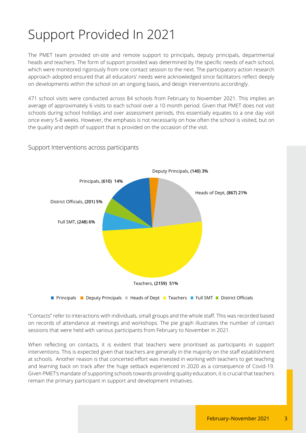# Support Provided In 2021

The PMET team provided on-site and remote support to principals, deputy principals, departmental heads and teachers. The form of support provided was determined by the specific needs of each school, which were monitored rigorously from one contact session to the next. The participatory action research approach adopted ensured that all educators' needs were acknowledged since facilitators reflect deeply on developments within the school on an ongoing basis, and design interventions accordingly.

471 school visits were conducted across 84 schools from February to November 2021. This implies an average of approximately 6 visits to each school over a 10 month period. Given that PMET does not visit schools during school holidays and over assessment periods, this essentially equates to a one day visit once every 5-8 weeks. However, the emphasis is not necessarily on how often the school is visited, but on the quality and depth of support that is provided on the occasion of the visit.



#### Support Interventions across participants

"Contacts" refer to interactions with individuals, small groups and the whole staff. This was recorded based on records of attendance at meetings and workshops. The pie graph illustrates the number of contact sessions that were held with various participants from February to November in 2021.

When reflecting on contacts, it is evident that teachers were prioritised as participants in support interventions. This is expected given that teachers are generally in the majority on the staff establishment at schools. Another reason is that concerted effort was invested in working with teachers to get teaching and learning back on track after the huge setback experienced in 2020 as a consequence of Covid-19. Given PMET's mandate of supporting schools towards providing quality education, it is crucial that teachers remain the primary participant in support and development initiatives.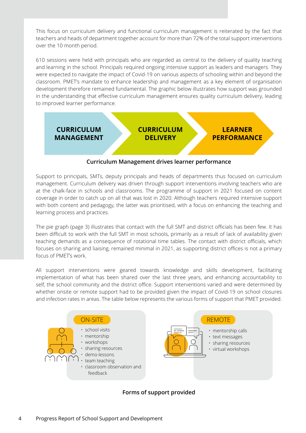This focus on curriculum delivery and functional curriculum management is reiterated by the fact that teachers and heads of department together account for more than 72% of the total support interventions over the 10 month period.

610 sessions were held with principals who are regarded as central to the delivery of quality teaching and learning in the school. Principals required ongoing intensive support as leaders and managers. They were expected to navigate the impact of Covid-19 on various aspects of schooling within and beyond the classroom. PMET's mandate to enhance leadership and management as a key element of organisation development therefore remained fundamental. The graphic below illustrates how support was grounded in the understanding that effective curriculum management ensures quality curriculum delivery, leading to improved learner performance.



**Curriculum Management drives learner performance**

Support to principals, SMTs, deputy principals and heads of departments thus focused on curriculum management. Curriculum delivery was driven through support interventions involving teachers who are at the chalk-face in schools and classrooms. The programme of support in 2021 focused on content coverage in order to catch up on all that was lost in 2020. Although teachers required intensive support with both content and pedagogy, the latter was prioritised, with a focus on enhancing the teaching and learning process and practices.

The pie graph (page 3) illustrates that contact with the full SMT and district officials has been few. It has been difficult to work with the full SMT in most schools, primarily as a result of lack of availability given teaching demands as a consequence of rotational time tables. The contact with district officials, which focuses on sharing and liaising, remained minimal in 2021, as supporting district offices is not a primary focus of PMET's work.

All support interventions were geared towards knowledge and skills development, facilitating implementation of what has been shared over the last three years, and enhancing accountability to self, the school community and the district office. Support interventions varied and were determined by whether onsite or remote support had to be provided given the impact of Covid-19 on school closures and infection rates in areas. The table below represents the various forms of support that PMET provided.



**Forms of support provided**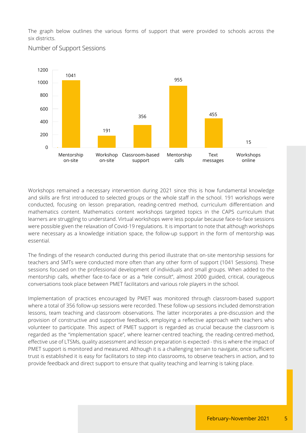The graph below outlines the various forms of support that were provided to schools across the six districts.

Number of Support Sessions



Workshops remained a necessary intervention during 2021 since this is how fundamental knowledge and skills are first introduced to selected groups or the whole staff in the school. 191 workshops were conducted, focusing on lesson preparation, reading-centred method, curriculum differentiation and mathematics content. Mathematics content workshops targeted topics in the CAPS curriculum that learners are struggling to understand. Virtual workshops were less popular because face-to-face sessions were possible given the relaxation of Covid-19 regulations. It is important to note that although workshops were necessary as a knowledge initiation space, the follow-up support in the form of mentorship was essential.

The findings of the research conducted during this period illustrate that on-site mentorship sessions for teachers and SMTs were conducted more often than any other form of support (1041 Sessions). These sessions focused on the professional development of individuals and small groups. When added to the mentorship calls, whether face-to-face or as a "tele consult", almost 2000 guided, critical, courageous conversations took place between PMET facilitators and various role players in the school.

Implementation of practices encouraged by PMET was monitored through classroom-based support where a total of 356 follow-up sessions were recorded. These follow-up sessions included demonstration lessons, team teaching and classroom observations. The latter incorporates a pre-discussion and the provision of constructive and supportive feedback, employing a reflective approach with teachers who volunteer to participate. This aspect of PMET support is regarded as crucial because the classroom is regarded as the "implementation space", where learner-centred teaching, the reading-centred-method, effective use of LTSMs, quality assessment and lesson preparation is expected - this is where the impact of PMET support is monitored and measured. Although it is a challenging terrain to navigate, once sufficient trust is established it is easy for facilitators to step into classrooms, to observe teachers in action, and to provide feedback and direct support to ensure that quality teaching and learning is taking place.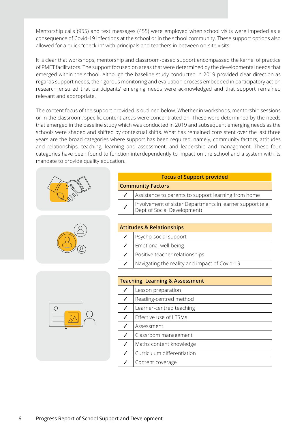Mentorship calls (955) and text messages (455) were employed when school visits were impeded as a consequence of Covid-19 infections at the school or in the school community. These support options also allowed for a quick "check-in" with principals and teachers in between on-site visits.

It is clear that workshops, mentorship and classroom-based support encompassed the kernel of practice of PMET facilitators. The support focused on areas that were determined by the developmental needs that emerged within the school. Although the baseline study conducted in 2019 provided clear direction as regards support needs, the rigorous monitoring and evaluation process embedded in participatory action research ensured that participants' emerging needs were acknowledged and that support remained relevant and appropriate.

The content focus of the support provided is outlined below. Whether in workshops, mentorship sessions or in the classroom, specific content areas were concentrated on. These were determined by the needs that emerged in the baseline study which was conducted in 2019 and subsequent emerging needs as the schools were shaped and shifted by contextual shifts. What has remained consistent over the last three years are the broad categories where support has been required, namely, community factors, attitudes and relationships, teaching, learning and assessment, and leadership and management. These four categories have been found to function interdependently to impact on the school and a system with its mandate to provide quality education.





|--|

| <b>Focus of Support provided</b>     |                                                                                           |  |  |  |
|--------------------------------------|-------------------------------------------------------------------------------------------|--|--|--|
| <b>Community Factors</b>             |                                                                                           |  |  |  |
|                                      | Assistance to parents to support learning from home                                       |  |  |  |
|                                      | Involvement of sister Departments in learner support (e.g.<br>Dept of Social Development) |  |  |  |
|                                      |                                                                                           |  |  |  |
| <b>Attitudes &amp; Relationships</b> |                                                                                           |  |  |  |
| ✓                                    | Psycho-social support                                                                     |  |  |  |
| ✓                                    | Emotional well-being                                                                      |  |  |  |
| ✓                                    | Positive teacher relationships                                                            |  |  |  |
|                                      | Navigating the reality and impact of Covid-19                                             |  |  |  |

| <b>Teaching, Learning &amp; Assessment</b> |                            |  |
|--------------------------------------------|----------------------------|--|
|                                            | Lesson preparation         |  |
|                                            | Reading-centred method     |  |
| ✓                                          | Learner-centred teaching   |  |
|                                            | Effective use of LTSMs     |  |
|                                            | Assessment                 |  |
| ✓                                          | Classroom management       |  |
| ✓                                          | Maths content knowledge    |  |
|                                            | Curriculum differentiation |  |
|                                            | Content coverage           |  |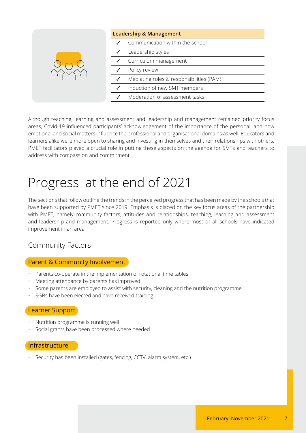|  | <b>Leadership &amp; Management</b>       |
|--|------------------------------------------|
|  | Communication within the school          |
|  | Leadership styles                        |
|  | Curriculum management                    |
|  | Policy review                            |
|  | Mediating roles & responsibilities (PAM) |
|  | Induction of new SMT members             |
|  | Moderation of assessment tasks           |

Although teaching, learning and assessment and leadership and management remained priority focus areas, Covid-19 influenced participants' acknowledgement of the importance of the personal, and how emotional and social matters influence the professional and organisational domains as well. Educators and learners alike were more open to sharing and investing in themselves and their relationships with others. PMET facilitators played a crucial role in putting these aspects on the agenda for SMTs and teachers to address with compassion and commitment.

# Progress at the end of 2021

The sections that follow outline the trends in the perceived progress that has been made by the schools that have been supported by PMET since 2019. Emphasis is placed on the key focus areas of the partnership with PMET, namely community factors, attitudes and relationships, teaching, learning and assessment and leadership and management. Progress is reported only where most or all schools have indicated improvement in an area.

## Community Factors

#### Parent & Community Involvement

- Parents co-operate in the implementation of rotational time tables
- Meeting attendance by parents has improved
- Some parents are employed to assist with security, cleaning and the nutrition programme
- SGBs have been elected and have received training

#### Learner Support

- Nutrition programme is running well
- Social grants have been processed where needed

#### **Infrastructure**

• Security has been installed (gates, fencing, CCTV, alarm system, etc.)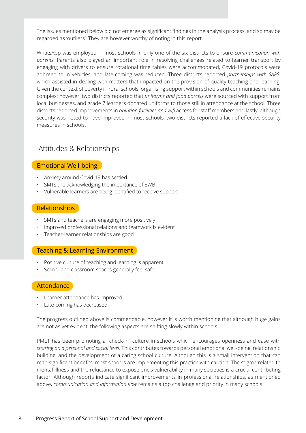The issues mentioned below did not emerge as significant findings in the analysis process, and so may be regarded as 'outliers'. They are however worthy of noting in this report.

WhatsApp was employed in most schools in only one of the six districts to ensure *communication with parents*. Parents also played an important role in resolving challenges related to learner transport by engaging with drivers to ensure rotational time tables were accommodated, Covid-19 protocols were adhreed to in vehicles, and late-coming was reduced. Three districts reported *partnerships with SAPS*, which assisted in dealing with matters that impacted on the provision of quality teaching and learning. Given the context of poverty in rural schools, organising support within schools and communities remains complex; however, two districts reported that *uniforms and food parcels* were sourced with support from local businesses, and grade 7 learners donated uniforms to those still in attendance at the school. Three districts reported improvements in *ablution facilities and wifi* access for staff members and lastly, although security was noted to have improved in most schools, two districts reported a lack of effective security measures in schools.

### Attitudes & Relationships

#### Emotional Well-being

- Anxiety around Covid-19 has settled
- SMTs are acknowledging the importance of EWB
- Vulnerable learners are being identified to receive support

#### Relationships

- SMTs and teachers are engaging more positively
- Improved professional relations and teamwork is evident
- Teacher-learner relationships are good

#### Teaching & Learning Environment

- Positive culture of teaching and learning is apparent
- School and classroom spaces generally feel safe

#### **Attendance**

- Learner attendance has improved
- Late-coming has decreased

The progress outlined above is commendable, however it is worth mentioning that although huge gains are not as yet evident, the following aspects are shifting slowly within schools.

PMET has been promoting a "check-in" culture in schools which encourages openness and ease with *sharing on a personal and social level*. This contributes towards personal emotional well-being, relationship building, and the development of a caring school culture. Although this is a small intervention that can reap significant benefits, most schools are implementing this practice with caution. The stigma related to mental illness and the reluctance to expose one's vulnerability in many societies is a crucial contributing factor. Although reports indicate significant improvements in professional relationships, as mentioned above, *communication and information flow* remains a top challenge and priority in many schools.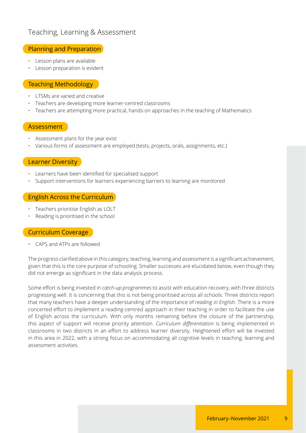## Teaching, Learning & Assessment

#### Planning and Preparation

- Lesson plans are available
- Lesson preparation is evident

#### Teaching Methodology

- LTSMs are varied and creative
- Teachers are developing more learner-centred classrooms
- Teachers are attempting more practical, hands-on approaches in the teaching of Mathematics

#### Assessment

- Assessment plans for the year exist
- Various forms of assessment are employed (tests, projects, orals, assignments, etc.)

#### Learner Diversity

- Learners have been identified for specialised support
- Support interventions for learners experiencing barriers to learning are monitored

#### English Across the Curriculum

- Teachers prioritise English as LOLT
- Reading is prioritised in the school

#### Curriculum Coverage

• CAPS and ATPs are followed

The progress clarified above in this category, teaching, learning and assessment is a significant achievement, given that this is the core purpose of schooling. Smaller successes are elucidated below, even though they did not emerge as significant in the data analysis process.

Some effort is being invested in *catch-up programmes* to assist with education recovery, with three districts progressing well. It is concerning that this is not being prioritised across all schools. Three districts report that many teachers have a deeper understanding of the importance of *reading in English*. There is a more concerted effort to implement a reading-centred approach in their teaching in order to facilitate the use of English across the curriculum. With only months remaining before the closure of the partnership, this aspect of support will receive priority attention. *Curriculum differentiation* is being implemented in classrooms in two districts in an effort to address learner diversity. Heightened effort will be invested in this area in 2022, with a strong focus on accommodating all cognitive levels in teaching, learning and assessment activities.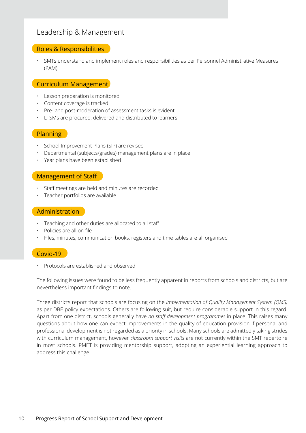## Leadership & Management

#### Roles & Responsibilities

• SMTs understand and implement roles and responsibilities as per Personnel Administrative Measures (PAM)

### Curriculum Management

- Lesson preparation is monitored
- Content coverage is tracked
- Pre- and post-moderation of assessment tasks is evident
- LTSMs are procured, delivered and distributed to learners

#### Planning

- School Improvement Plans (SIP) are revised
- Departmental (subjects/grades) management plans are in place
- Year plans have been established

#### Management of Staff

- Staff meetings are held and minutes are recorded
- Teacher portfolios are available

#### Administration

- Teaching and other duties are allocated to all staff
- Policies are all on file
- Files, minutes, communication books, registers and time tables are all organised

#### Covid-19

• Protocols are established and observed

The following issues were found to be less frequently apparent in reports from schools and districts, but are nevertheless important findings to note.

Three districts report that schools are focusing on the *implementation of Quality Management System (QMS)* as per DBE policy expectations. Others are following suit, but require considerable support in this regard. Apart from one district, schools generally have *no staff development programmes* in place. This raises many questions about how one can expect improvements in the quality of education provision if personal and professional development is not regarded as a priority in schools. Many schools are admittedly taking strides with curriculum management, however *classroom support visits* are not currently within the SMT repertoire in most schools. PMET is providing mentorship support, adopting an experiential learning approach to address this challenge.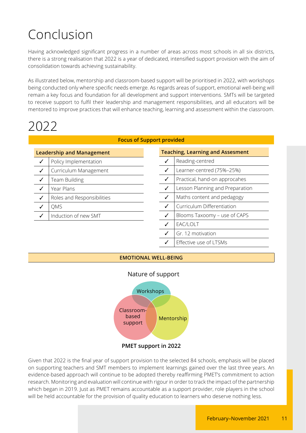# Conclusion

Having acknowledged significant progress in a number of areas across most schools in all six districts, there is a strong realisation that 2022 is a year of dedicated, intensified support provision with the aim of consolidation towards achieving sustainability.

As illustrated below, mentorship and classroom-based support will be prioritised in 2022, with workshops being conducted only where specific needs emerge. As regards areas of support, emotional well-being will remain a key focus and foundation for all development and support interventions. SMTs will be targeted to receive support to fulfil their leadership and management responsibilities, and all educators will be mentored to improve practices that will enhance teaching, learning and assessment within the classroom.

## 2022

|  | <b>Focus of Support provided</b> |  |
|--|----------------------------------|--|
|--|----------------------------------|--|

| <b>Leadership and Management</b> |                            |  |  |
|----------------------------------|----------------------------|--|--|
|                                  | Policy Implementation      |  |  |
| ✓                                | Curriculum Management      |  |  |
| ✓                                | Team Building              |  |  |
|                                  | Year Plans                 |  |  |
| ✓                                | Roles and Responsibilities |  |  |
|                                  | QMS                        |  |  |
|                                  | Induction of new SMT       |  |  |

| <b>Teaching, Learning and Assesment</b> |                                 |  |  |
|-----------------------------------------|---------------------------------|--|--|
| ✓                                       | Reading-centred                 |  |  |
| ✓                                       | Learner-centred (75%-25%)       |  |  |
| ✓                                       | Practical, hand-on approcahes   |  |  |
| ✓                                       | Lesson Planning and Preparation |  |  |
| ✓                                       | Maths content and pedagogy      |  |  |
| ✓                                       | Curriculum Differentiation      |  |  |
| ✓                                       | Blooms Taxoomy - use of CAPS    |  |  |
| ✓                                       | EAC/LOLT                        |  |  |
| ✓                                       | Gr. 12 motivation               |  |  |
| ✓                                       | Effective use of LTSMs          |  |  |

#### **EMOTIONAL WELL-BEING**



#### Nature of support

Given that 2022 is the final year of support provision to the selected 84 schools, emphasis will be placed on supporting teachers and SMT members to implement learnings gained over the last three years. An evidence-based approach will continue to be adopted thereby reaffirming PMET's commitment to action research. Monitoring and evaluation will continue with rigour in order to track the impact of the partnership which began in 2019. Just as PMET remains accountable as a support provider, role players in the school will be held accountable for the provision of quality education to learners who deserve nothing less.